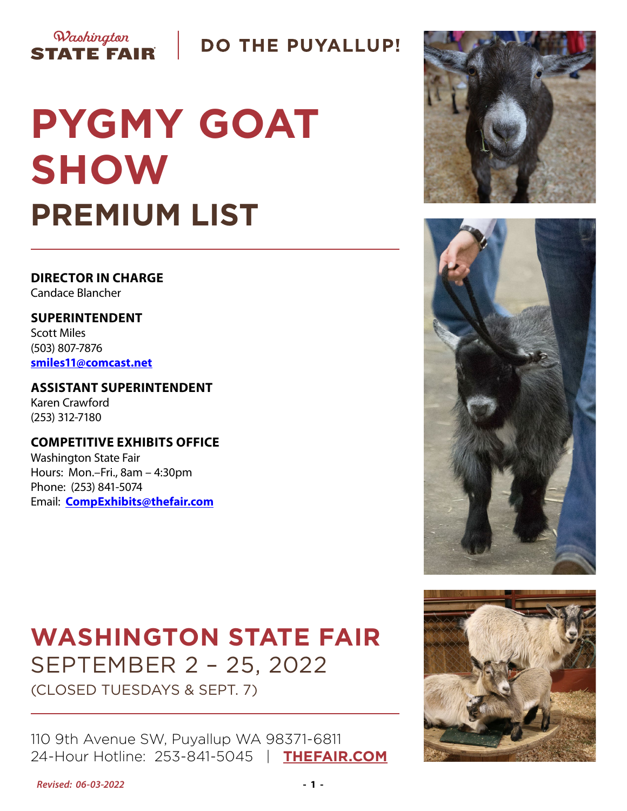

# **DO THE PUYALLUP!**

# **PYGMY GOAT SHOW PREMIUM LIST**

**DIRECTOR IN CHARGE** Candace Blancher

**SUPERINTENDENT** Scott Miles (503) 807-7876 **[smiles11@comcast.net](mailto:smiles11%40comcast.net?subject=Pygmy%20Goat%20Show)**

**ASSISTANT SUPERINTENDENT** Karen Crawford (253) 312-7180

**COMPETITIVE EXHIBITS OFFICE** Washington State Fair Hours: Mon.–Fri., 8am – 4:30pm Phone: (253) 841-5074 Email: **[CompExhibits@thefair.com](mailto:CompExhibits%40thefair.com?subject=Pygmy%20Goat%20Show)**

# **WASHINGTON STATE FAIR** SEPTEMBER 2 – 25, 2022

(CLOSED TUESDAYS & SEPT. 7)

110 9th Avenue SW, Puyallup WA 98371-6811 24-Hour Hotline: 253-841-5045 | **[THEFAIR.COM](http://www.thefair.com)**







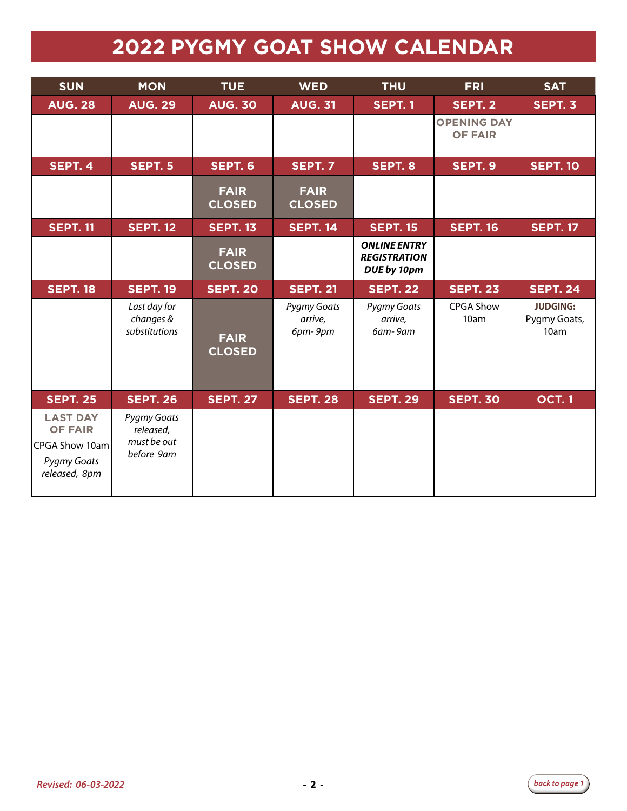# **2022 PYGMY GOAT SHOW CALENDAR**

| <b>SUN</b>                                                                          | <b>MON</b>                                                   | <b>TUE</b>                   | <b>WED</b>                               | <b>THU</b>                                                | <b>FRI</b>                           | <b>SAT</b>                              |
|-------------------------------------------------------------------------------------|--------------------------------------------------------------|------------------------------|------------------------------------------|-----------------------------------------------------------|--------------------------------------|-----------------------------------------|
| <b>AUG. 28</b>                                                                      | <b>AUG. 29</b>                                               | <b>AUG. 30</b>               | <b>AUG. 31</b>                           | <b>SEPT. 1</b>                                            | <b>SEPT. 2</b>                       | SEPT. 3                                 |
|                                                                                     |                                                              |                              |                                          |                                                           | <b>OPENING DAY</b><br><b>OF FAIR</b> |                                         |
| SEPT. 4                                                                             | <b>SEPT. 5</b>                                               | SEPT. 6                      | <b>SEPT. 7</b>                           | SEPT. 8                                                   | SEPT. 9                              | <b>SEPT. 10</b>                         |
|                                                                                     |                                                              | <b>FAIR</b><br><b>CLOSED</b> | <b>FAIR</b><br><b>CLOSED</b>             |                                                           |                                      |                                         |
| <b>SEPT. 11</b>                                                                     | <b>SEPT. 12</b>                                              | <b>SEPT. 13</b>              | <b>SEPT. 14</b>                          | <b>SEPT. 15</b>                                           | <b>SEPT. 16</b>                      | <b>SEPT. 17</b>                         |
|                                                                                     |                                                              | <b>FAIR</b><br><b>CLOSED</b> |                                          | <b>ONLINE ENTRY</b><br><b>REGISTRATION</b><br>DUE by 10pm |                                      |                                         |
| <b>SEPT. 18</b>                                                                     | <b>SEPT. 19</b>                                              | <b>SEPT. 20</b>              | <b>SEPT. 21</b>                          | <b>SEPT. 22</b>                                           | <b>SEPT. 23</b>                      | <b>SEPT. 24</b>                         |
|                                                                                     | Last day for<br>changes &<br>substitutions                   | <b>FAIR</b><br><b>CLOSED</b> | <b>Pygmy Goats</b><br>arrive,<br>6pm-9pm | Pygmy Goats<br>arrive,<br>6am-9am                         | <b>CPGA Show</b><br>10am             | <b>JUDGING:</b><br>Pygmy Goats,<br>10am |
| <b>SEPT. 25</b>                                                                     | <b>SEPT. 26</b>                                              | <b>SEPT. 27</b>              | <b>SEPT. 28</b>                          | <b>SEPT. 29</b>                                           | <b>SEPT. 30</b>                      | <b>OCT.1</b>                            |
| <b>LAST DAY</b><br><b>OF FAIR</b><br>CPGA Show 10am<br>Pygmy Goats<br>released, 8pm | <b>Pygmy Goats</b><br>released,<br>must be out<br>before 9am |                              |                                          |                                                           |                                      |                                         |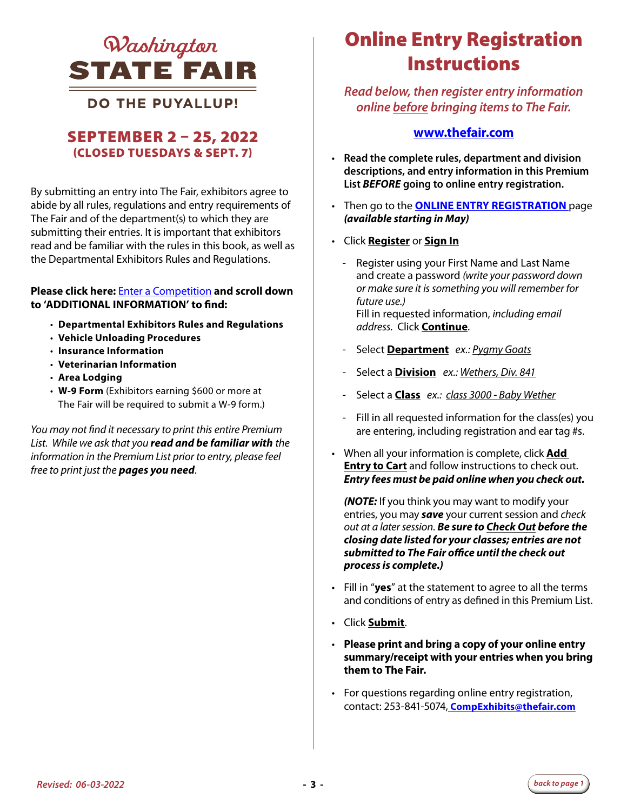

### **DO THE PUYALLUP!**

### SEPTEMBER 2 – 25, 2022 (CLOSED TUESDAYS & SEPT. 7)

By submitting an entry into The Fair, exhibitors agree to abide by all rules, regulations and entry requirements of The Fair and of the department(s) to which they are submitting their entries. It is important that exhibitors read and be familiar with the rules in this book, as well as the Departmental Exhibitors Rules and Regulations.

#### **Please click here:** [Enter a Competition](https://www.thefair.com/get-involved/competitive-exhibits/) **and scroll down to 'ADDITIONAL INFORMATION' to find:**

- **Departmental Exhibitors Rules and Regulations**
- **Vehicle Unloading Procedures**
- **Insurance Information**
- **Veterinarian Information**
- **Area Lodging**
- **W-9 Form** (Exhibitors earning \$600 or more at The Fair will be required to submit a W-9 form.)

*You may not find it necessary to print this entire Premium List. While we ask that you read and be familiar with the information in the Premium List prior to entry, please feel free to print just the pages you need*.

# *QUashinaton CONLINE Entry Registration* **Instructions**

*Read below, then register entry information online before bringing items to The Fair.* 

#### **[www.thefair.com](http://www.thefair.com)**

- **Read the complete rules, department and division descriptions, and entry information in this Premium List** *BEFORE* **going to online entry registration.**
- Then go to the **[ONLINE ENTRY REGISTRATION](https://wwf.fairwire.com/)** page *(available starting in May)*
- Click **Register** or **Sign In**
	- Register using your First Name and Last Name and create a password *(write your password down or make sure it is something you will remember for future use.)* Fill in requested information, *including email address*. Click **Continue**.
	- Select **Department** *ex.: Pygmy Goats*
	- Select a **Division** *ex.: Wethers, Div. 841*
	- Select a **Class** *ex.: class 3000 Baby Wether*
	- Fill in all requested information for the class(es) you are entering, including registration and ear tag #s.
- When all your information is complete, click **Add Entry to Cart** and follow instructions to check out. *Entry fees must be paid online when you check out.*

*(NOTE:* If you think you may want to modify your entries, you may *save* your current session and *check out at a later session*. *Be sure to Check Out before the closing date listed for your classes; entries are not submitted to The Fair office until the check out process is complete.)*

- Fill in "**yes**" at the statement to agree to all the terms and conditions of entry as defined in this Premium List.
- Click **Submit**.
- **Please print and bring a copy of your online entry summary/receipt with your entries when you bring them to The Fair.**
- For questions regarding online entry registration, contact: 253-841-5074, **CompExhibits@thefair.com**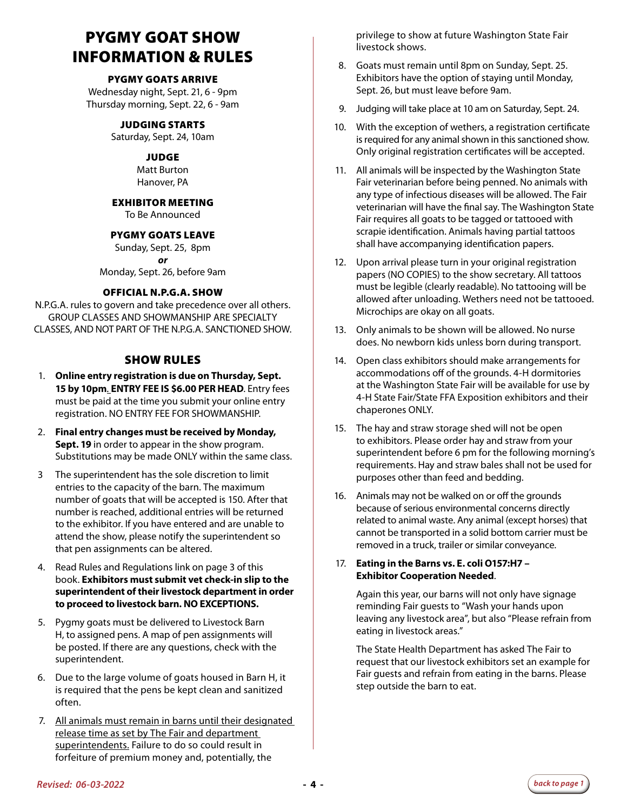## PYGMY GOAT SHOW INFORMATION & RULES

#### PYGMY GOATS ARRIVE

Wednesday night, Sept. 21, 6 - 9pm Thursday morning, Sept. 22, 6 - 9am

#### JUDGING STARTS

Saturday, Sept. 24, 10am

#### JUDGE

Matt Burton Hanover, PA

#### EXHIBITOR MEETING

To Be Announced

#### PYGMY GOATS LEAVE

Sunday, Sept. 25, 8pm *or*  Monday, Sept. 26, before 9am

#### OFFICIAL N.P.G.A. SHOW

N.P.G.A. rules to govern and take precedence over all others. GROUP CLASSES AND SHOWMANSHIP ARE SPECIALTY CLASSES, AND NOT PART OF THE N.P.G.A. SANCTIONED SHOW.

#### SHOW RULES

- 1. **Online entry registration is due on Thursday, Sept. 15 by 10pm***.* **ENTRY FEE IS \$6.00 PER HEAD**. Entry fees must be paid at the time you submit your online entry registration. NO ENTRY FEE FOR SHOWMANSHIP.
- 2. **Final entry changes must be received by Monday, Sept. 19** in order to appear in the show program. Substitutions may be made ONLY within the same class.
- 3 The superintendent has the sole discretion to limit entries to the capacity of the barn. The maximum number of goats that will be accepted is 150. After that number is reached, additional entries will be returned to the exhibitor. If you have entered and are unable to attend the show, please notify the superintendent so that pen assignments can be altered.
- 4. Read Rules and Regulations link on page 3 of this book. **Exhibitors must submit vet check-in slip to the superintendent of their livestock department in order to proceed to livestock barn. NO EXCEPTIONS.**
- 5. Pygmy goats must be delivered to Livestock Barn H, to assigned pens. A map of pen assignments will be posted. If there are any questions, check with the superintendent.
- 6. Due to the large volume of goats housed in Barn H, it is required that the pens be kept clean and sanitized often.
- 7. All animals must remain in barns until their designated release time as set by The Fair and department superintendents. Failure to do so could result in forfeiture of premium money and, potentially, the

privilege to show at future Washington State Fair livestock shows.

- 8. Goats must remain until 8pm on Sunday, Sept. 25. Exhibitors have the option of staying until Monday, Sept. 26, but must leave before 9am.
- 9. Judging will take place at 10 am on Saturday, Sept. 24.
- 10. With the exception of wethers, a registration certificate is required for any animal shown in this sanctioned show. Only original registration certificates will be accepted.
- 11. All animals will be inspected by the Washington State Fair veterinarian before being penned. No animals with any type of infectious diseases will be allowed. The Fair veterinarian will have the final say. The Washington State Fair requires all goats to be tagged or tattooed with scrapie identification. Animals having partial tattoos shall have accompanying identification papers.
- 12. Upon arrival please turn in your original registration papers (NO COPIES) to the show secretary. All tattoos must be legible (clearly readable). No tattooing will be allowed after unloading. Wethers need not be tattooed. Microchips are okay on all goats.
- 13. Only animals to be shown will be allowed. No nurse does. No newborn kids unless born during transport.
- 14. Open class exhibitors should make arrangements for accommodations off of the grounds. 4-H dormitories at the Washington State Fair will be available for use by 4-H State Fair/State FFA Exposition exhibitors and their chaperones ONLY.
- 15. The hay and straw storage shed will not be open to exhibitors. Please order hay and straw from your superintendent before 6 pm for the following morning's requirements. Hay and straw bales shall not be used for purposes other than feed and bedding.
- 16. Animals may not be walked on or off the grounds because of serious environmental concerns directly related to animal waste. Any animal (except horses) that cannot be transported in a solid bottom carrier must be removed in a truck, trailer or similar conveyance.

#### 17. **Eating in the Barns vs. E. coli O157:H7 – Exhibitor Cooperation Needed**.

 Again this year, our barns will not only have signage reminding Fair guests to "Wash your hands upon leaving any livestock area", but also "Please refrain from eating in livestock areas."

 The State Health Department has asked The Fair to request that our livestock exhibitors set an example for Fair guests and refrain from eating in the barns. Please step outside the barn to eat.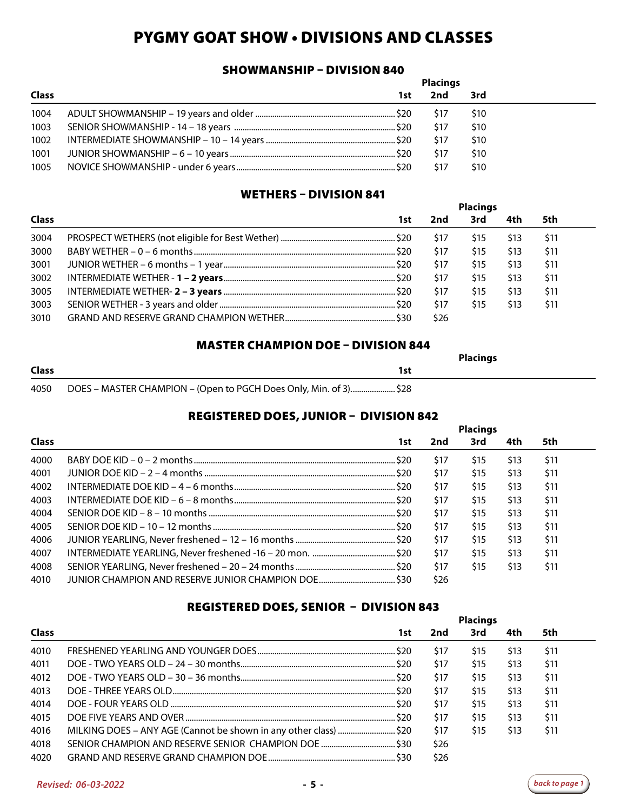## PYGMY GOAT SHOW • DIVISIONS AND CLASSES

#### SHOWMANSHIP – DIVISION 840

|              |     | <b>Placings</b> |            |
|--------------|-----|-----------------|------------|
| <b>Class</b> | 1st | 2nd             | 3rd        |
| 1004         |     | -S17            | <b>S10</b> |
| 1003         |     | \$17            | \$10       |
| 1002         |     | \$17            | \$10       |
| 1001         |     | \$17            | \$10       |
| 1005         |     | \$17            | \$10       |

#### WETHERS – DIVISION 841

|              |     |      | <b>Placings</b> |      |      |  |
|--------------|-----|------|-----------------|------|------|--|
| <b>Class</b> | 1st | 2nd  | 3rd             | 4th  | 5th  |  |
| 3004         |     | \$17 | S15             | \$13 | \$11 |  |
| 3000         |     | \$17 | \$15            | \$13 | \$11 |  |
| 3001         |     | \$17 | \$15            | \$13 | \$11 |  |
| 3002         |     | \$17 | \$15            | \$13 | \$11 |  |
| 3005         |     | \$17 | \$15            | \$13 | \$11 |  |
| 3003         |     | \$17 | \$15            | \$13 | \$11 |  |
| 3010         |     | \$26 |                 |      |      |  |

#### MASTER CHAMPION DOE – DIVISION 844

|              |                                                                   | <b>Placings</b> |
|--------------|-------------------------------------------------------------------|-----------------|
| <b>Class</b> | 1st                                                               |                 |
| 4050         | DOES - MASTER CHAMPION - (Open to PGCH Does Only, Min. of 3) \$28 |                 |

#### REGISTERED DOES, JUNIOR – DIVISION 842

|              |     |      | <b>Placings</b> |      |      |  |
|--------------|-----|------|-----------------|------|------|--|
| <b>Class</b> | 1st | 2nd  | 3rd             | 4th  | 5th  |  |
| 4000         |     | \$17 | \$15            | \$13 | \$11 |  |
| 4001         |     | \$17 | \$15            | \$13 | \$11 |  |
| 4002         |     | \$17 | \$15            | \$13 | \$11 |  |
| 4003         |     | \$17 | \$15            | \$13 | \$11 |  |
| 4004         |     | \$17 | \$15            | \$13 | \$11 |  |
| 4005         |     | \$17 | \$15            | \$13 | \$11 |  |
| 4006         |     | \$17 | \$15            | \$13 | \$11 |  |
| 4007         |     | \$17 | \$15            | \$13 | \$11 |  |
| 4008         |     | \$17 | \$15            | \$13 | \$11 |  |
| 4010         |     | \$26 |                 |      |      |  |

#### REGISTERED DOES, SENIOR – DIVISION 843

|              |      |      | <b>Placings</b> |      |      |  |
|--------------|------|------|-----------------|------|------|--|
| <b>Class</b> | 1st. | 2nd  | 3rd             | 4th  | 5th  |  |
| 4010         |      | \$17 | \$15            | \$13 | \$11 |  |
| 4011         |      | \$17 | \$15            | \$13 | \$11 |  |
| 4012         |      | \$17 | \$15            | \$13 | \$11 |  |
| 4013         |      | \$17 | \$15            | \$13 | \$11 |  |
| 4014         | .520 | \$17 | \$15            | \$13 | \$11 |  |
| 4015         |      | \$17 | \$15            | \$13 | \$11 |  |
| 4016         |      | \$17 | \$15            | \$13 | \$11 |  |
| 4018         |      | \$26 |                 |      |      |  |
| 4020         |      | \$26 |                 |      |      |  |